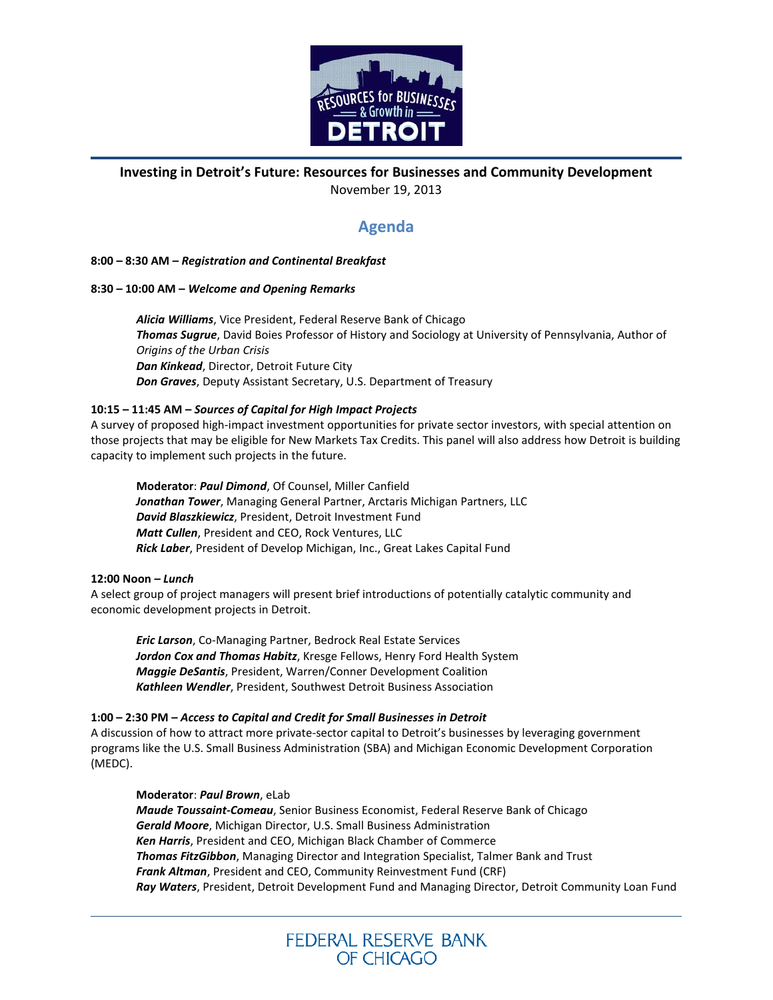

## **Investing in Detroit's Future: Resources for Businesses and Community Development** November 19, 2013

# **Agenda**

### **8:00 – 8:30 AM –** *Registration and Continental Breakfast*

## **8:30 – 10:00 AM –** *Welcome and Opening Remarks*

*Alicia Williams*, Vice President, Federal Reserve Bank of Chicago *Thomas Sugrue*, David Boies Professor of History and Sociology at University of Pennsylvania, Author of *Origins of the Urban Crisis Dan Kinkead*, Director, Detroit Future City *Don Graves*, Deputy Assistant Secretary, U.S. Department of Treasury

## **10:15 – 11:45 AM –** *Sources of Capital for High Impact Projects*

A survey of proposed high-impact investment opportunities for private sector investors, with special attention on those projects that may be eligible for New Markets Tax Credits. This panel will also address how Detroit is building capacity to implement such projects in the future.

**Moderator**: *Paul Dimond*, Of Counsel, Miller Canfield *Jonathan Tower*, Managing General Partner, Arctaris Michigan Partners, LLC *David Blaszkiewicz*, President, Detroit Investment Fund *Matt Cullen*, President and CEO, Rock Ventures, LLC *Rick Laber*, President of Develop Michigan, Inc., Great Lakes Capital Fund

#### **12:00 Noon –** *Lunch*

A select group of project managers will present brief introductions of potentially catalytic community and economic development projects in Detroit.

*Eric Larson*, Co-Managing Partner, Bedrock Real Estate Services *Jordon Cox and Thomas Habitz*, Kresge Fellows, Henry Ford Health System *Maggie DeSantis*, President, Warren/Conner Development Coalition *Kathleen Wendler*, President, Southwest Detroit Business Association

#### **1:00 – 2:30 PM –** *Access to Capital and Credit for Small Businesses in Detroit*

A discussion of how to attract more private-sector capital to Detroit's businesses by leveraging government programs like the U.S. Small Business Administration (SBA) and Michigan Economic Development Corporation (MEDC).

#### **Moderator**: *Paul Brown*, eLab

*Maude Toussaint-Comeau*, Senior Business Economist, Federal Reserve Bank of Chicago *Gerald Moore*, Michigan Director, U.S. Small Business Administration *Ken Harris*, President and CEO, Michigan Black Chamber of Commerce *Thomas FitzGibbon*, Managing Director and Integration Specialist, Talmer Bank and Trust *Frank Altman*, President and CEO, Community Reinvestment Fund (CRF) *Ray Waters*, President, Detroit Development Fund and Managing Director, Detroit Community Loan Fund

> FEDERAL RESERVE BANK OF CHICAGO